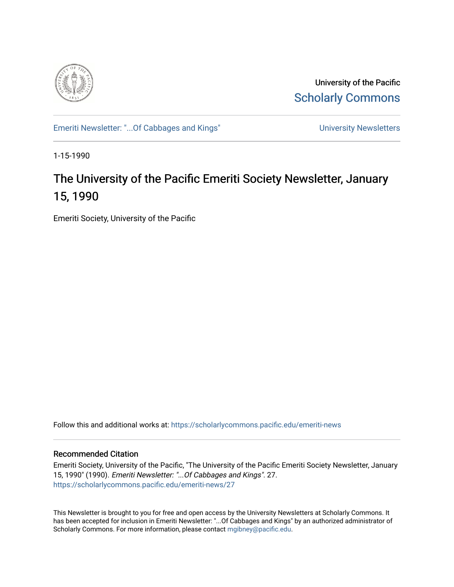

University of the Pacific [Scholarly Commons](https://scholarlycommons.pacific.edu/) 

[Emeriti Newsletter: "...Of Cabbages and Kings"](https://scholarlycommons.pacific.edu/emeriti-news) Newsletters University Newsletters

1-15-1990

# The University of the Pacific Emeriti Society Newsletter, January 15, 1990

Emeriti Society, University of the Pacific

Follow this and additional works at: [https://scholarlycommons.pacific.edu/emeriti-news](https://scholarlycommons.pacific.edu/emeriti-news?utm_source=scholarlycommons.pacific.edu%2Femeriti-news%2F27&utm_medium=PDF&utm_campaign=PDFCoverPages)

# Recommended Citation

Emeriti Society, University of the Pacific, "The University of the Pacific Emeriti Society Newsletter, January 15, 1990" (1990). Emeriti Newsletter: "...Of Cabbages and Kings". 27. [https://scholarlycommons.pacific.edu/emeriti-news/27](https://scholarlycommons.pacific.edu/emeriti-news/27?utm_source=scholarlycommons.pacific.edu%2Femeriti-news%2F27&utm_medium=PDF&utm_campaign=PDFCoverPages) 

This Newsletter is brought to you for free and open access by the University Newsletters at Scholarly Commons. It has been accepted for inclusion in Emeriti Newsletter: "...Of Cabbages and Kings" by an authorized administrator of Scholarly Commons. For more information, please contact [mgibney@pacific.edu.](mailto:mgibney@pacific.edu)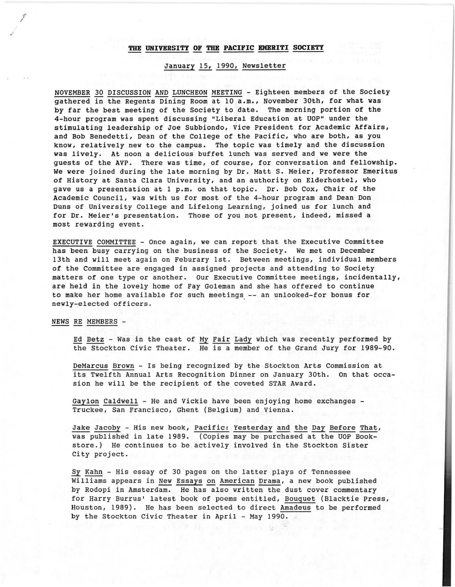#### **THE UNIVERSITY OF THE PACIFIC EMERITI SOCIETY**

## January 15, 1990, Newsletter

NOVEMBER 30 DISCUSSION AND LUNCHEON MEETING - Eighteen members of the Society gathered in the Regents Dining Room at 10 a.m., November 30th, for what was by far the best meeting of the Society to date. The morning portion of the 4-hour program was spent discussing "Liberal Education at UOP'' under the stimulating leadership of Joe Subbiondo, Vice President for Academic Affairs, and Bob Benedetti, Dean of the College of the Pacific, who are both, as you know, relatively new to the campus. The topic was timely and the discussion was lively. At noon a delicious buffet lunch was served and we were the guests of the AVP. There was time, of course, for conversation and fellowship. We were joined during the late morning by Dr. Matt s. Meier, Professor Emeritus of History at Santa Clara University, and an authority on Elderhostel, who gave us a presentation at 1 p.m. on that topic. Dr. Bob Cox, Chair of the Academic Council, was with us for most of the 4-hour program and Dean Don Duns of University College and Lifelong Learning, joined us for lunch and for Dr. Meier's presentation. Those of you not present, indeed, missed a most rewarding event.

EXECUTIVE COMMITTEE - Once again, we can report that the Executive Committee has been busy carrying on the business of the Society. We met on December 13th and will meet again on Feburary 1st. Between meetings, individual members of the Committee are engaged in assigned projects and attending to Society matters of one type or another. Our Executive Committee meetings, incidentally, are held in the lovely home of Fay Goleman and she has offered to continue to make her home available for such meetings\_ -- an unlooked-for bonus for newly-elected officers.

NEWS RE MEMBERS -

, I

> Ed Betz - Was in the cast of My Fair Lady which was recently performed by the Stockton Civic Theater. He is a member of the Grand Jury for 1989-90.

> DeMarcus Brown - Is being recognized by the Stockton Arts Commission at its Twelfth Annual Arts Recognition Dinner on January 30th. On that occasion he will be the recipient of the coveted STAR Award.

Gaylon Caldwell - He and Vickie have been enjoying home exchanges - Truckee, San Francisco, Ghent (Belgium) and Vienna.

Jake Jacoby - His new book, Pacific: Yesterday and the Day Before That, was published in late 1989. (Copies may be purchased at the UOP Bookstore.) He continues to be actively involved in the Stockton Sister City project.

Sy Kahn - His essay of 30 pages on the latter plays of Tennessee Williams appears in New Essays on American Drama, a new book published by Rodopi in Amsterdam. He has also written the dust cover commentary for Harry Burrus' latest book of poems entitled, Bouquet (Blacktie Press, Houston, 1989). He has been selected to direct Amadeus to be performed by the Stockton Civic Theater in April - May 1990.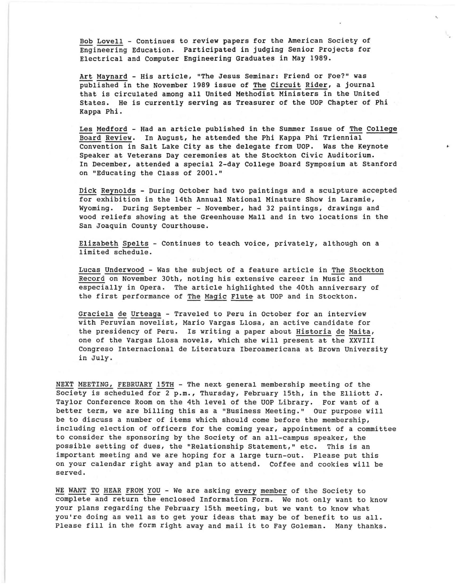Bob Lovell - Continues to review papers for the American Society of Engineering Education. Participated in judging Senior Projects for Electrical and Computer Engineering Graduates in May 1989.

Art Maynard - His article, "The Jesus Seminar: Friend or Foe?" was published in the November 1989 issue of The Circuit Rider, a journal that is circulated among all United Methodist Ministers in the United States. He is currently serving as Treasurer of the UOP Chapter of Phi Kappa Phi.

Les Medford - Had an article published in the Summer Issue of The College Board Review. In August, he attended the Phi Kappa Phi Triennial Convention in Salt Lake City as the delegate from UOP. Was the Keynote Speaker at Veterans Day ceremonies at the Stockton Civic Auditorium. In December, attended a special 2-day College Board Symposium at Stanford on "Educating the Class of 2001."

Dick Reynolds - During October had two paintings and a sculpture accepted for exhibition in the 14th Annual National Minature Show in Laramie, Wyoming. During September - November, had 32 paintings, drawings and wood reliefs showing at the Greenhouse Mall and in two locations in the San Joaquin County Courthouse.

Elizabeth Spelts - Continues to teach voice, privately, although on a limited schedule .

Lucas Underwood - Was the subject of a feature article in The Stockton Record on November 30th, noting his extensive career in Music and especially in Opera. The article highlighted the 40th anniversary of the first performance of The Magic Flute at UOP and in Stockton.

Graciela de Urteaga - Traveled to Peru in October for an interview with Peruvian novelist, Mario Vargas Llosa, an active candidate for the presidency of Peru. Is writing a paper about Historia de Maita, one of the Vargas Llosa novels, which she will present at the XXVIII Congreso Internacional de Literatura Iberoamericana at Brown University in July.

NEXT MEETING, FEBRUARY 15TH - The next general membership meeting of the Society is scheduled for 2 p.m., Thursday, February 15th, in the Elliott J. Taylor Conference Room on the 4th level of the UOP Library. For want of a better term, we are billing this as a "Business Meeting." our purpose will be to discuss a number of items which should come before the membership, including election of officers for the coming year, appointment of a committee to consider the sponsoring by the Society of an all-campus speaker, the possible setting of dues, the ''Relationship Statement," etc. This is an important meeting and we are hoping for a large turn-out. Please put this on your calendar right away and plan to attend. Coffee and cookies will be served.

WE WANT TO HEAR FROM YOU - We are asking every member of the Society to complete and return the enclosed Information Form. We not only want to know your plans regarding the February 15th meeting, but we want to know what you're doing as well as to get your ideas that may be of benefit to us all. Please fill in the form right away and mail it to Fay Goleman. Many thanks.